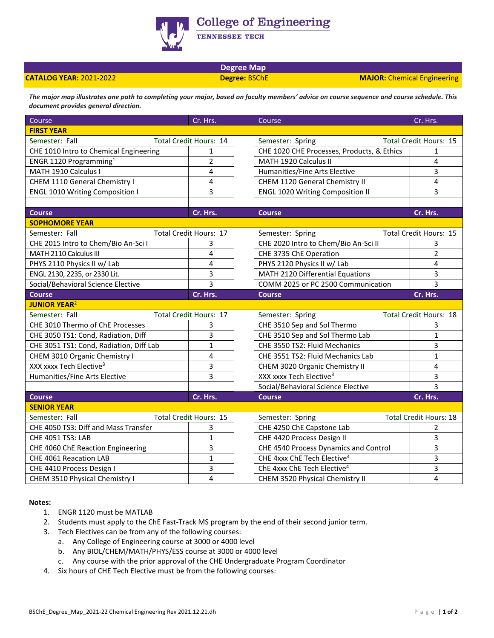

**College of Engineering** 

TENNESSEE TECH

## **Degree Map**

**CATALOG YEAR:** 2021-2022 **Degree:** BSChE **MAJOR:** Chemical Engineering

*The major map illustrates one path to completing your major, based on faculty members' advice on course sequence and course schedule. This document provides general direction.* 

| Course                                  | Cr. Hrs.                      |  | Course                                     | Cr. Hrs.                      |
|-----------------------------------------|-------------------------------|--|--------------------------------------------|-------------------------------|
| <b>FIRST YEAR</b>                       |                               |  |                                            |                               |
| Semester: Fall                          | Total Credit Hours: 14        |  | Semester: Spring                           | Total Credit Hours: 15        |
| CHE 1010 Intro to Chemical Engineering  | 1                             |  | CHE 1020 CHE Processes, Products, & Ethics | 1                             |
| ENGR 1120 Programming <sup>1</sup>      | $\overline{2}$                |  | MATH 1920 Calculus II                      | 4                             |
| MATH 1910 Calculus I                    | 4                             |  | Humanities/Fine Arts Elective              | 3                             |
| CHEM 1110 General Chemistry I           | 4                             |  | CHEM 1120 General Chemistry II             | 4                             |
| <b>ENGL 1010 Writing Composition I</b>  | 3                             |  | <b>ENGL 1020 Writing Composition II</b>    | 3                             |
|                                         |                               |  |                                            |                               |
| <b>Course</b>                           | Cr. Hrs.                      |  | <b>Course</b>                              | Cr. Hrs.                      |
| <b>SOPHOMORE YEAR</b>                   |                               |  |                                            |                               |
| Semester: Fall                          | <b>Total Credit Hours: 17</b> |  | Semester: Spring                           | <b>Total Credit Hours: 15</b> |
| CHE 2015 Intro to Chem/Bio An-Sci I     | 3                             |  | CHE 2020 Intro to Chem/Bio An-Sci II       | 3                             |
| MATH 2110 Calculus III                  | 4                             |  | CHE 3735 ChE Operation                     | $\overline{2}$                |
| PHYS 2110 Physics II w/ Lab             | 4                             |  | PHYS 2120 Physics II w/ Lab                | 4                             |
| ENGL 2130, 2235, or 2330 Lit.           | 3                             |  | MATH 2120 Differential Equations           | 3                             |
| Social/Behavioral Science Elective      | $\overline{3}$                |  | COMM 2025 or PC 2500 Communication         | $\overline{3}$                |
| <b>Course</b>                           | Cr. Hrs.                      |  | <b>Course</b>                              | Cr. Hrs.                      |
| <b>JUNIOR YEAR<sup>2</sup></b>          |                               |  |                                            |                               |
| Semester: Fall                          | Total Credit Hours: 17        |  | Semester: Spring                           | Total Credit Hours: 18        |
| CHE 3010 Thermo of ChE Processes        | 3                             |  | CHE 3510 Sep and Sol Thermo                | 3                             |
| CHE 3050 TS1: Cond, Radiation, Diff     | 3                             |  | CHE 3510 Sep and Sol Thermo Lab            | $\mathbf{1}$                  |
| CHE 3051 TS1: Cond, Radiation, Diff Lab | $\mathbf{1}$                  |  | CHE 3550 TS2: Fluid Mechanics              | 3                             |
| CHEM 3010 Organic Chemistry I           | 4                             |  | CHE 3551 TS2: Fluid Mechanics Lab          | $\mathbf{1}$                  |
| XXX xxxx Tech Elective <sup>3</sup>     | 3                             |  | CHEM 3020 Organic Chemistry II             | 4                             |
| Humanities/Fine Arts Elective           | 3                             |  | XXX xxxx Tech Elective <sup>3</sup>        | 3                             |
|                                         |                               |  | Social/Behavioral Science Elective         | 3                             |
| <b>Course</b>                           | Cr. Hrs.                      |  | <b>Course</b>                              | Cr. Hrs.                      |
| <b>SENIOR YEAR</b>                      |                               |  |                                            |                               |
| Semester: Fall                          | <b>Total Credit Hours: 15</b> |  | Semester: Spring                           | <b>Total Credit Hours: 18</b> |
| CHE 4050 TS3: Diff and Mass Transfer    | 3                             |  | CHE 4250 ChE Capstone Lab                  | 2                             |
| CHE 4051 TS3: LAB                       | $\mathbf{1}$                  |  | CHE 4420 Process Design II                 | 3                             |
| CHE 4060 ChE Reaction Engineering       | 3                             |  | CHE 4540 Process Dynamics and Control      | 3                             |
| CHE 4061 Reacation LAB                  | $\mathbf{1}$                  |  | CHE 4xxx ChE Tech Elective <sup>4</sup>    | 3                             |
| CHE 4410 Process Design I               | 3                             |  | ChE 4xxx ChE Tech Elective <sup>4</sup>    | 3                             |
| CHEM 3510 Physical Chemistry I          | 4                             |  | CHEM 3520 Physical Chemistry II            | 4                             |

## **Notes:**

- 1. ENGR 1120 must be MATLAB
- 2. Students must apply to the ChE Fast-Track MS program by the end of their second junior term.
- 3. Tech Electives can be from any of the following courses:
	- a. Any College of Engineering course at 3000 or 4000 level
	- b. Any BIOL/CHEM/MATH/PHYS/ESS course at 3000 or 4000 level
	- c. Any course with the prior approval of the CHE Undergraduate Program Coordinator
- 4. Six hours of CHE Tech Elective must be from the following courses: